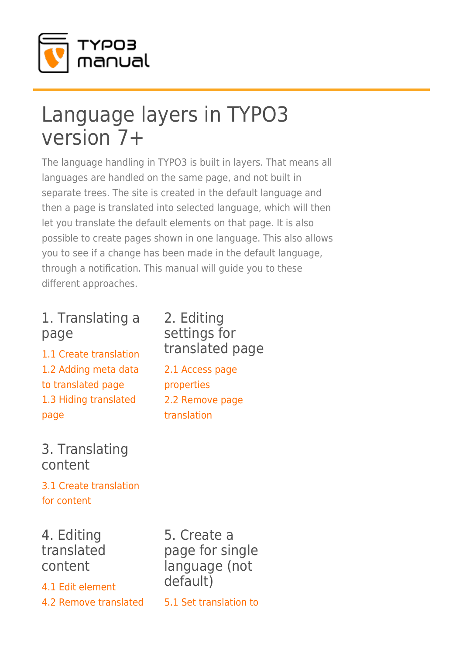

# Language layers in TYPO3 version 7+

The language handling in TYPO3 is built in layers. That means all languages are handled on the same page, and not built in separate trees. The site is created in the default language and then a page is translated into selected language, which will then let you translate the default elements on that page. It is also possible to create pages shown in one language. This also allows you to see if a change has been made in the default language, through a notification. This manual will guide you to these different approaches.

## 1. Translating a page

[1.1 Create translation](https://www.typo3manual.com/de/extension-manuals/language-layers-typo3-version-7/1-translating-a-page/11-create-translation/) [1.2 Adding meta data](https://www.typo3manual.com/de/extension-manuals/language-layers-typo3-version-7/1-translating-a-page/12-adding-meta-data-to-translated-page/) [to translated page](https://www.typo3manual.com/de/extension-manuals/language-layers-typo3-version-7/1-translating-a-page/12-adding-meta-data-to-translated-page/) [1.3 Hiding translated](https://www.typo3manual.com/de/extension-manuals/language-layers-typo3-version-7/1-translating-a-page/13-hiding-translated-page/) [page](https://www.typo3manual.com/de/extension-manuals/language-layers-typo3-version-7/1-translating-a-page/13-hiding-translated-page/)

#### 2. Editing settings for translated page

[2.1 Access page](https://www.typo3manual.com/de/extension-manuals/language-layers-typo3-version-7/2-editing-settings-for-translated-page/21-access-page-properties/) [properties](https://www.typo3manual.com/de/extension-manuals/language-layers-typo3-version-7/2-editing-settings-for-translated-page/21-access-page-properties/) [2.2 Remove page](https://www.typo3manual.com/de/extension-manuals/language-layers-typo3-version-7/2-editing-settings-for-translated-page/22-remove-page-translation/) [translation](https://www.typo3manual.com/de/extension-manuals/language-layers-typo3-version-7/2-editing-settings-for-translated-page/22-remove-page-translation/)

### 3. Translating content

[3.1 Create translation](https://www.typo3manual.com/de/extension-manuals/language-layers-typo3-version-7/3-translating-content/31-create-translation-for-content/) [for content](https://www.typo3manual.com/de/extension-manuals/language-layers-typo3-version-7/3-translating-content/31-create-translation-for-content/)

4. Editing translated content

[4.1 Edit element](https://www.typo3manual.com/de/extension-manuals/language-layers-typo3-version-7/4-editing-translated-content/41-edit-element/) [4.2 Remove translated](https://www.typo3manual.com/de/extension-manuals/language-layers-typo3-version-7/4-editing-translated-content/42-remove-translated-element/)

5. Create a page for single language (not default)

[5.1 Set translation to](https://www.typo3manual.com/de/extension-manuals/language-layers-typo3-version-7/5-create-a-page-for-single-language/51-set-translation-to-single-language/)